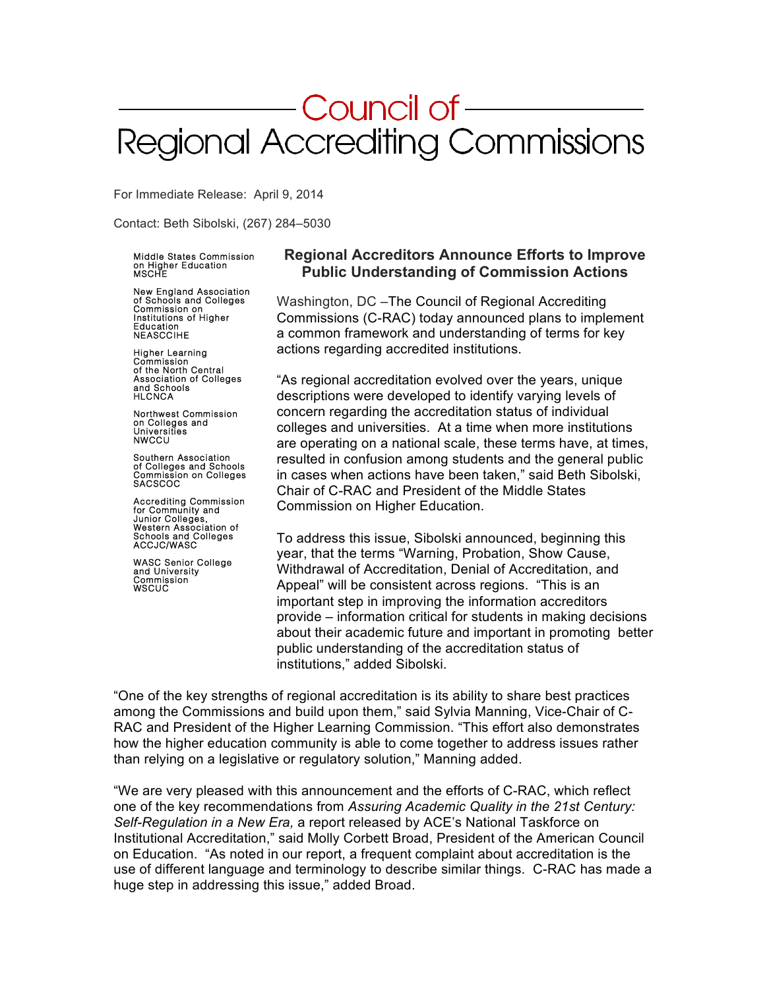# Council of-Regional Accrediting Commissions

For Immediate Release: April 9, 2014

Contact: Beth Sibolski, (267) 284–5030

# Middle States Commission<br>on Higher Education<br>MSCHE

 New England Association of Schools and Colleges Commission on Institutions of Higher Education NEASCCIHE

 Higher Learning Commission of the North Central Association of Colleges and Schools HLCNCA

 Northwest Commission on Colleges and Universities **NWCCU** 

 Southern Association of Colleges and Schools Commission on Colleges SACSCOC

 Accrediting Commission for Community and Junior Colleges, Western Association of Schools and Colleges ACCJC/WASC

 WASC Senior College and University Commission WSCUC

#### **Regional Accreditors Announce Efforts to Improve Public Understanding of Commission Actions**

Washington, DC –The Council of Regional Accrediting Commissions (C-RAC) today announced plans to implement a common framework and understanding of terms for key actions regarding accredited institutions.

"As regional accreditation evolved over the years, unique descriptions were developed to identify varying levels of concern regarding the accreditation status of individual colleges and universities. At a time when more institutions are operating on a national scale, these terms have, at times, resulted in confusion among students and the general public in cases when actions have been taken," said Beth Sibolski, Chair of C-RAC and President of the Middle States Commission on Higher Education.

To address this issue, Sibolski announced, beginning this year, that the terms "Warning, Probation, Show Cause, Withdrawal of Accreditation, Denial of Accreditation, and Appeal" will be consistent across regions. "This is an important step in improving the information accreditors provide – information critical for students in making decisions about their academic future and important in promoting better public understanding of the accreditation status of institutions," added Sibolski.

"One of the key strengths of regional accreditation is its ability to share best practices among the Commissions and build upon them," said Sylvia Manning, Vice-Chair of C-RAC and President of the Higher Learning Commission. "This effort also demonstrates how the higher education community is able to come together to address issues rather than relying on a legislative or regulatory solution," Manning added.

"We are very pleased with this announcement and the efforts of C-RAC, which reflect one of the key recommendations from *Assuring Academic Quality in the 21st Century: Self-Regulation in a New Era,* a report released by ACE's National Taskforce on Institutional Accreditation," said Molly Corbett Broad, President of the American Council on Education. "As noted in our report, a frequent complaint about accreditation is the use of different language and terminology to describe similar things. C-RAC has made a huge step in addressing this issue," added Broad.